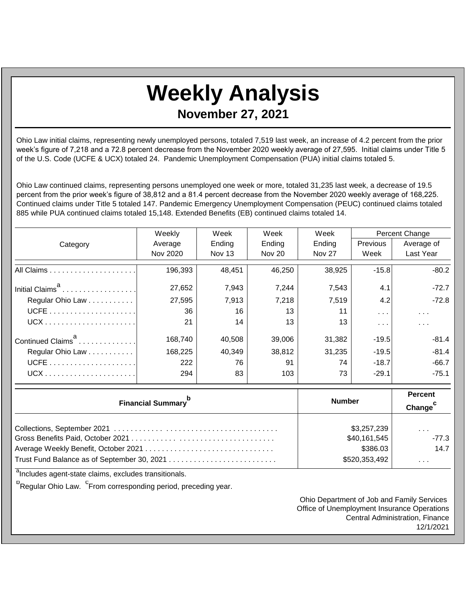## **Weekly Analysis**

**November 27, 2021**

Ohio Law initial claims, representing newly unemployed persons, totaled 7,519 last week, an increase of 4.2 percent from the prior week's figure of 7,218 and a 72.8 percent decrease from the November 2020 weekly average of 27,595. Initial claims under Title 5 of the U.S. Code (UCFE & UCX) totaled 24. Pandemic Unemployment Compensation (PUA) initial claims totaled 5.

Ohio Law continued claims, representing persons unemployed one week or more, totaled 31,235 last week, a decrease of 19.5 percent from the prior week's figure of 38,812 and a 81.4 percent decrease from the November 2020 weekly average of 168,225. Continued claims under Title 5 totaled 147. Pandemic Emergency Unemployment Compensation (PEUC) continued claims totaled 885 while PUA continued claims totaled 15,148. Extended Benefits (EB) continued claims totaled 14.

|                               | Weekly   | Week          | Week          | Week          | Percent Change                     |                         |
|-------------------------------|----------|---------------|---------------|---------------|------------------------------------|-------------------------|
| Category                      | Average  | Ending        | Ending        | Ending        | <b>Previous</b>                    | Average of              |
|                               | Nov 2020 | <b>Nov 13</b> | <b>Nov 20</b> | <b>Nov 27</b> | Week                               | Last Year               |
|                               | 196,393  | 48.451        | 46,250        | 38,925        | $-15.8$                            | $-80.2$                 |
| Initial Claims <sup>a</sup>   | 27,652   | 7,943         | 7,244         | 7,543         | 4.1                                | $-72.7$                 |
| Regular Ohio Law              | 27,595   | 7,913         | 7,218         | 7,519         | 4.2                                | $-72.8$                 |
|                               | 36       | 16            | 13            | 11            | $\sim 100$ km s $^{-1}$            | $\sim 100$ km s $^{-1}$ |
|                               | 21       | 14            | 13            | 13            | $\mathbf{r}=\mathbf{r}+\mathbf{r}$ | $\sim$ $\sim$           |
| Continued Claims <sup>a</sup> | 168,740  | 40,508        | 39,006        | 31,382        | $-19.5$                            | $-81.4$                 |
| Regular Ohio Law              | 168,225  | 40,349        | 38,812        | 31,235        | $-19.5$                            | $-81.4$                 |
|                               | 222      | 76            | 91            | 74            | $-18.7$                            | $-66.7$                 |
|                               | 294      | 83            | 103           | 73            | $-29.1$                            | $-75.1$                 |

| <b>Financial Summary</b> | <b>Number</b> | <b>Percent</b><br>Change <sup>c</sup> |  |
|--------------------------|---------------|---------------------------------------|--|
|                          | \$3,257,239   | $\cdots$                              |  |
|                          | \$40,161,545  | $-77.3$                               |  |
|                          | \$386.03      | 14.7                                  |  |
|                          | \$520,353,492 | $\cdots$                              |  |

<sup>a</sup>Includes agent-state claims, excludes transitionals.

<sup>b</sup>Regular Ohio Law. <sup>C</sup>From corresponding period, preceding year.

Ohio Department of Job and Family Services Office of Unemployment Insurance Operations Central Administration, Finance 12/1/2021